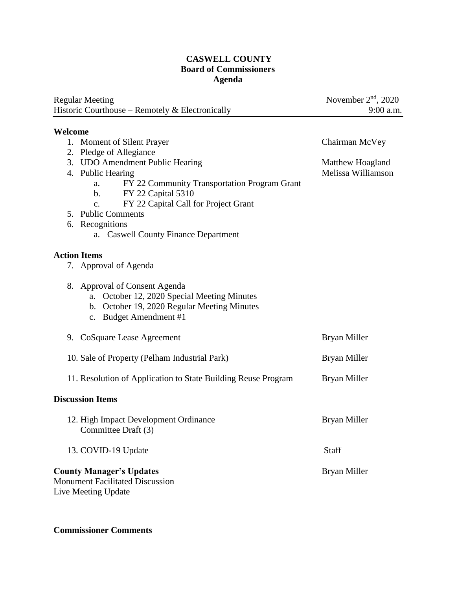### **CASWELL COUNTY Board of Commissioners Agenda**

| Regular Meeting                                 | November $2nd$ , 2020 |
|-------------------------------------------------|-----------------------|
| Historic Courthouse – Remotely & Electronically | $9:00$ a.m.           |
|                                                 |                       |

# **Welcome**

| vv eicome                                                     |                    |
|---------------------------------------------------------------|--------------------|
| 1. Moment of Silent Prayer                                    | Chairman McVey     |
| 2. Pledge of Allegiance                                       |                    |
| 3. UDO Amendment Public Hearing                               | Matthew Hoagland   |
| 4. Public Hearing                                             | Melissa Williamson |
| FY 22 Community Transportation Program Grant<br>a.            |                    |
| $\mathbf{b}$ .<br>FY 22 Capital 5310                          |                    |
| FY 22 Capital Call for Project Grant<br>c.                    |                    |
| 5. Public Comments                                            |                    |
| 6. Recognitions                                               |                    |
| a. Caswell County Finance Department                          |                    |
| <b>Action Items</b>                                           |                    |
| 7. Approval of Agenda                                         |                    |
| 8. Approval of Consent Agenda                                 |                    |
| a. October 12, 2020 Special Meeting Minutes                   |                    |
| b. October 19, 2020 Regular Meeting Minutes                   |                    |
| c. Budget Amendment #1                                        |                    |
| 9. CoSquare Lease Agreement                                   | Bryan Miller       |
| 10. Sale of Property (Pelham Industrial Park)                 | Bryan Miller       |
|                                                               |                    |
| 11. Resolution of Application to State Building Reuse Program | Bryan Miller       |
| <b>Discussion Items</b>                                       |                    |
| 12. High Impact Development Ordinance                         | Bryan Miller       |
| Committee Draft (3)                                           |                    |
|                                                               |                    |
| 13. COVID-19 Update                                           | Staff              |
| <b>County Manager's Updates</b>                               | Bryan Miller       |
| <b>Monument Facilitated Discussion</b>                        |                    |
| Live Meeting Update                                           |                    |

## **Commissioner Comments**